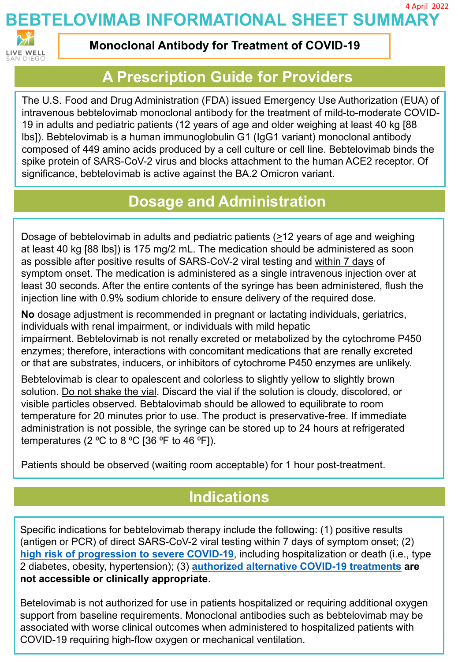**BEBTELOVIMAB INFORMATIONAL SHEET SUMMARY** 4 April 2022



**Monoclonal Antibody for Treatment of COVID-19**

## **A Prescription Guide for Providers**

The U.S. Food and Drug Administration (FDA) issued Emergency Use Authorization (EUA) of intravenous bebtelovimab monoclonal antibody for the treatment of mild-to-moderate COVID-19 in adults and pediatric patients (12 years of age and older weighing at least 40 kg [88 lbs]). Bebtelovimab is a human immunoglobulin G1 (IgG1 variant) monoclonal antibody composed of 449 amino acids produced by a cell culture or cell line. Bebtelovimab binds the spike protein of SARS-CoV-2 virus and blocks attachment to the human ACE2 receptor. Of significance, bebtelovimab is active against the BA.2 Omicron variant.

## **Dosage and Administration**

Dosage of bebtelovimab in adults and pediatric patients (>12 years of age and weighing at least 40 kg [88 lbs]) is 175 mg/2 mL. The medication should be administered as soon as possible after positive results of SARS-CoV-2 viral testing and within 7 days of symptom onset. The medication is administered as a single intravenous injection over at least 30 seconds. After the entire contents of the syringe has been administered, flush the injection line with 0.9% sodium chloride to ensure delivery of the required dose.

**No** dosage adjustment is recommended in pregnant or lactating individuals, geriatrics, individuals with renal impairment, or individuals with mild hepatic impairment. Bebtelovimab is not renally excreted or metabolized by the cytochrome P450 enzymes; therefore, interactions with concomitant medications that are renally excreted or that are substrates, inducers, or inhibitors of cytochrome P450 enzymes are unlikely.

Bebtelovimab is clear to opalescent and colorless to slightly yellow to slightly brown solution. Do not shake the vial. Discard the vial if the solution is cloudy, discolored, or visible particles observed. Bebtalovimab should be allowed to equilibrate to room temperature for 20 minutes prior to use. The product is preservative-free. If immediate administration is not possible, the syringe can be stored up to 24 hours at refrigerated temperatures (2  $°C$  to 8  $°C$  [36 °F to 46 °F]).

Patients should be observed (waiting room acceptable) for 1 hour post-treatment.

## **Indications**

Specific indications for bebtelovimab therapy include the following: (1) positive results (antigen or PCR) of direct SARS-CoV-2 viral testing within 7 days of symptom onset; (2) **[high risk of progression to severe COVID-19](https://www.cdc.gov/coronavirus/2019-ncov/hcp/clinical-care/underlyingconditions.html)**, including hospitalization or death (i.e., type 2 diabetes, obesity, hypertension); (3) **[authorized alternative COVID-19 treatments](https://www.covid19treatmentguidelines.nih.gov/management/clinical-management/hospitalized-adults--therapeutic-management/) are not accessible or clinically appropriate**.

Betelovimab is not authorized for use in patients hospitalized or requiring additional oxygen support from baseline requirements. Monoclonal antibodies such as bebtelovimab may be associated with worse clinical outcomes when administered to hospitalized patients with COVID-19 requiring high-flow oxygen or mechanical ventilation.